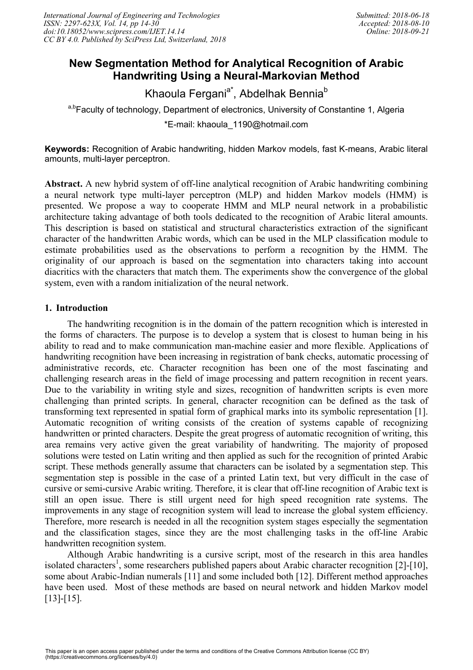# **New Segmentation Method for Analytical Recognition of Arabic Handwriting Using a Neural-Markovian Method**

Khaoula Fergani<sup>a\*</sup>, Abdelhak Bennia<sup>b</sup>

a,bFaculty of technology, Department of electronics, University of Constantine 1, Algeria \*E-mail: khaoula\_1190@hotmail.com

**Keywords:** Recognition of Arabic handwriting, hidden Markov models, fast K-means, Arabic literal amounts, multi-layer perceptron.

**Abstract.** A new hybrid system of off-line analytical recognition of Arabic handwriting combining a neural network type multi-layer perceptron (MLP) and hidden Markov models (HMM) is presented. We propose a way to cooperate HMM and MLP neural network in a probabilistic architecture taking advantage of both tools dedicated to the recognition of Arabic literal amounts. This description is based on statistical and structural characteristics extraction of the significant character of the handwritten Arabic words, which can be used in the MLP classification module to estimate probabilities used as the observations to perform a recognition by the HMM. The originality of our approach is based on the segmentation into characters taking into account diacritics with the characters that match them. The experiments show the convergence of the global system, even with a random initialization of the neural network.

# **1. Introduction**

The handwriting recognition is in the domain of the pattern recognition which is interested in the forms of characters. The purpose is to develop a system that is closest to human being in his ability to read and to make communication man-machine easier and more flexible. Applications of handwriting recognition have been increasing in registration of bank checks, automatic processing of administrative records, etc. Character recognition has been one of the most fascinating and challenging research areas in the field of image processing and pattern recognition in recent years. Due to the variability in writing style and sizes, recognition of handwritten scripts is even more challenging than printed scripts. In general, character recognition can be defined as the task of transforming text represented in spatial form of graphical marks into its symbolic representation [1]. Automatic recognition of writing consists of the creation of systems capable of recognizing handwritten or printed characters. Despite the great progress of automatic recognition of writing, this area remains very active given the great variability of handwriting. The majority of proposed solutions were tested on Latin writing and then applied as such for the recognition of printed Arabic script. These methods generally assume that characters can be isolated by a segmentation step. This segmentation step is possible in the case of a printed Latin text, but very difficult in the case of cursive or semi-cursive Arabic writing. Therefore, it is clear that off-line recognition of Arabic text is still an open issue. There is still urgent need for high speed recognition rate systems. The improvements in any stage of recognition system will lead to increase the global system efficiency. Therefore, more research is needed in all the recognition system stages especially the segmentation and the classification stages, since they are the most challenging tasks in the off-line Arabic handwritten recognition system.

Although Arabic handwriting is a cursive script, most of the research in this area handles isolated characters<sup>1</sup>, some researchers published papers about Arabic character recognition [2]-[10], some about Arabic-Indian numerals [11] and some included both [12]. Different method approaches have been used. Most of these methods are based on neural network and hidden Markov model [13]-[15].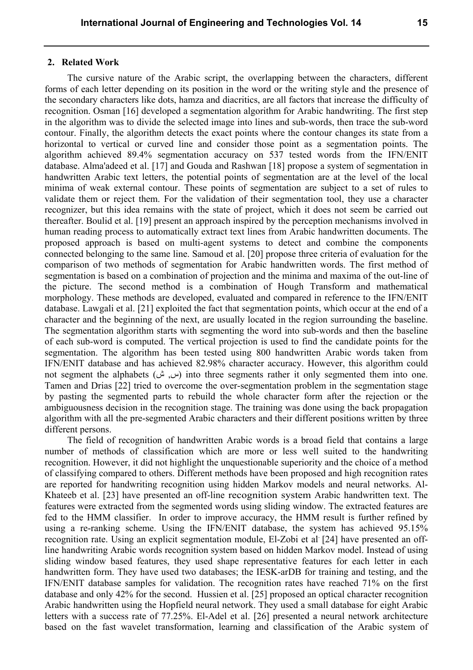#### **2. Related Work**

The cursive nature of the Arabic script, the overlapping between the characters, different forms of each letter depending on its position in the word or the writing style and the presence of the secondary characters like dots, hamza and diacritics, are all factors that increase the difficulty of recognition. Osman [16] developed a segmentation algorithm for Arabic handwriting. The first step in the algorithm was to divide the selected image into lines and sub-words, then trace the sub-word contour. Finally, the algorithm detects the exact points where the contour changes its state from a horizontal to vertical or curved line and consider those point as a segmentation points. The algorithm achieved 89.4% segmentation accuracy on 537 tested words from the IFN/ENIT database. Alma'adeed et al. [17] and Gouda and Rashwan [18] propose a system of segmentation in handwritten Arabic text letters, the potential points of segmentation are at the level of the local minima of weak external contour. These points of segmentation are subject to a set of rules to validate them or reject them. For the validation of their segmentation tool, they use a character recognizer, but this idea remains with the state of project, which it does not seem be carried out thereafter. Boulid et al. [19] present an approach inspired by the perception mechanisms involved in human reading process to automatically extract text lines from Arabic handwritten documents. The proposed approach is based on multi-agent systems to detect and combine the components connected belonging to the same line. Samoud et al. [20] propose three criteria of evaluation for the comparison of two methods of segmentation for Arabic handwritten words. The first method of segmentation is based on a combination of projection and the minima and maxima of the out-line of the picture. The second method is a combination of Hough Transform and mathematical morphology. These methods are developed, evaluated and compared in reference to the IFN/ENIT database. Lawgali et al. [21] exploited the fact that segmentation points, which occur at the end of a character and the beginning of the next, are usually located in the region surrounding the baseline. The segmentation algorithm starts with segmenting the word into sub-words and then the baseline of each sub-word is computed. The vertical projection is used to find the candidate points for the segmentation. The algorithm has been tested using 800 handwritten Arabic words taken from IFN/ENIT database and has achieved 82.98% character accuracy. However, this algorithm could not segment the alphabets (س, ش) into three segments rather it only segmented them into one. Tamen and Drias [22] tried to overcome the over-segmentation problem in the segmentation stage by pasting the segmented parts to rebuild the whole character form after the rejection or the ambiguousness decision in the recognition stage. The training was done using the back propagation algorithm with all the pre-segmented Arabic characters and their different positions written by three different persons.

The field of recognition of handwritten Arabic words is a broad field that contains a large number of methods of classification which are more or less well suited to the handwriting recognition. However, it did not highlight the unquestionable superiority and the choice of a method of classifying compared to others. Different methods have been proposed and high recognition rates are reported for handwriting recognition using hidden Markov models and neural networks. Al-Khateeb et al. [23] have presented an off-line recognition system Arabic handwritten text. The features were extracted from the segmented words using sliding window. The extracted features are fed to the HMM classifier. In order to improve accuracy, the HMM result is further refined by using a re-ranking scheme. Using the IFN/ENIT database, the system has achieved 95.15% recognition rate. Using an explicit segmentation module, El-Zobi et al. [24] have presented an offline handwriting Arabic words recognition system based on hidden Markov model. Instead of using sliding window based features, they used shape representative features for each letter in each handwritten form. They have used two databases; the IESK-arDB for training and testing, and the IFN/ENIT database samples for validation. The recognition rates have reached 71% on the first database and only 42% for the second. Hussien et al. [25] proposed an optical character recognition Arabic handwritten using the Hopfield neural network. They used a small database for eight Arabic letters with a success rate of 77.25%. El-Adel et al. [26] presented a neural network architecture based on the fast wavelet transformation, learning and classification of the Arabic system of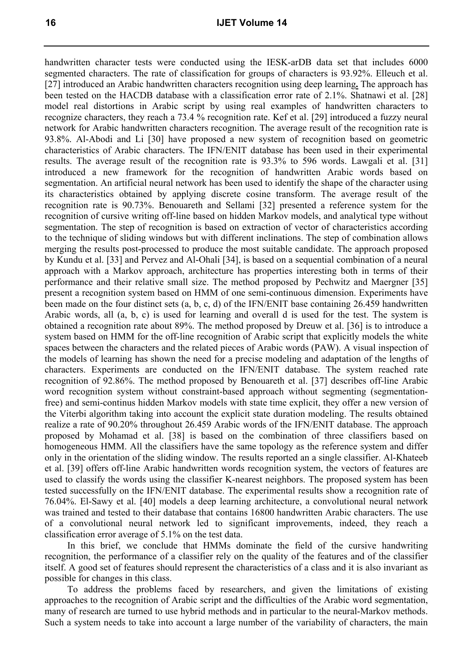handwritten character tests were conducted using the IESK-arDB data set that includes 6000 segmented characters. The rate of classification for groups of characters is 93.92%. Elleuch et al. [27] introduced an Arabic handwritten characters recognition using deep learning**.** The approach has been tested on the HACDB database with a classification error rate of 2.1%. Shatnawi et al. [28] model real distortions in Arabic script by using real examples of handwritten characters to recognize characters, they reach a 73.4 % recognition rate. Kef et al. [29] introduced a fuzzy neural network for Arabic handwritten characters recognition. The average result of the recognition rate is 93.8%. Al-Abodi and Li [30] have proposed a new system of recognition based on geometric characteristics of Arabic characters. The IFN/ENIT database has been used in their experimental results. The average result of the recognition rate is 93.3% to 596 words. Lawgali et al. [31] introduced a new framework for the recognition of handwritten Arabic words based on segmentation. An artificial neural network has been used to identify the shape of the character using its characteristics obtained by applying discrete cosine transform. The average result of the recognition rate is 90.73%. Benouareth and Sellami [32] presented a reference system for the recognition of cursive writing off-line based on hidden Markov models, and analytical type without segmentation. The step of recognition is based on extraction of vector of characteristics according to the technique of sliding windows but with different inclinations. The step of combination allows merging the results post-processed to produce the most suitable candidate. The approach proposed by Kundu et al. [33] and Pervez and Al-Ohali [34], is based on a sequential combination of a neural approach with a Markov approach, architecture has properties interesting both in terms of their performance and their relative small size. The method proposed by Pechwitz and Maergner [35] present a recognition system based on HMM of one semi-continuous dimension. Experiments have been made on the four distinct sets (a, b, c, d) of the IFN/ENIT base containing 26.459 handwritten Arabic words, all (a, b, c) is used for learning and overall d is used for the test. The system is obtained a recognition rate about 89%. The method proposed by Dreuw et al. [36] is to introduce a system based on HMM for the off-line recognition of Arabic script that explicitly models the white spaces between the characters and the related pieces of Arabic words (PAW). A visual inspection of the models of learning has shown the need for a precise modeling and adaptation of the lengths of characters. Experiments are conducted on the IFN/ENIT database. The system reached rate recognition of 92.86%. The method proposed by Benouareth et al. [37] describes off-line Arabic word recognition system without constraint-based approach without segmenting (segmentationfree) and semi-continus hidden Markov models with state time explicit, they offer a new version of the Viterbi algorithm taking into account the explicit state duration modeling. The results obtained realize a rate of 90.20% throughout 26.459 Arabic words of the IFN/ENIT database. The approach proposed by Mohamad et al. [38] is based on the combination of three classifiers based on homogeneous HMM. All the classifiers have the same topology as the reference system and differ only in the orientation of the sliding window. The results reported an a single classifier. Al-Khateeb et al. [39] offers off-line Arabic handwritten words recognition system, the vectors of features are used to classify the words using the classifier K-nearest neighbors. The proposed system has been tested successfully on the IFN/ENIT database. The experimental results show a recognition rate of 76.04%. El-Sawy et al. [40] models a deep learning architecture, a convolutional neural network was trained and tested to their database that contains 16800 handwritten Arabic characters. The use of a convolutional neural network led to significant improvements, indeed, they reach a classification error average of 5.1% on the test data.

In this brief, we conclude that HMMs dominate the field of the cursive handwriting recognition, the performance of a classifier rely on the quality of the features and of the classifier itself. A good set of features should represent the characteristics of a class and it is also invariant as possible for changes in this class.

To address the problems faced by researchers, and given the limitations of existing approaches to the recognition of Arabic script and the difficulties of the Arabic word segmentation, many of research are turned to use hybrid methods and in particular to the neural-Markov methods. Such a system needs to take into account a large number of the variability of characters, the main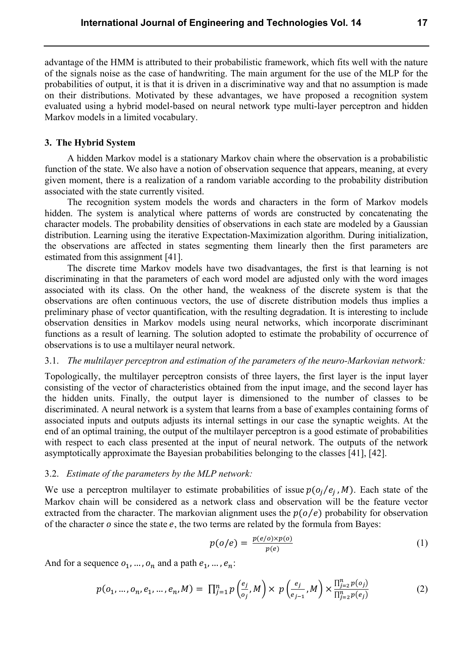advantage of the HMM is attributed to their probabilistic framework, which fits well with the nature of the signals noise as the case of handwriting. The main argument for the use of the MLP for the probabilities of output, it is that it is driven in a discriminative way and that no assumption is made on their distributions. Motivated by these advantages, we have proposed a recognition system evaluated using a hybrid model-based on neural network type multi-layer perceptron and hidden Markov models in a limited vocabulary.

## **3. The Hybrid System**

A hidden Markov model is a stationary Markov chain where the observation is a probabilistic function of the state. We also have a notion of observation sequence that appears, meaning, at every given moment, there is a realization of a random variable according to the probability distribution associated with the state currently visited.

The recognition system models the words and characters in the form of Markov models hidden. The system is analytical where patterns of words are constructed by concatenating the character models. The probability densities of observations in each state are modeled by a Gaussian distribution. Learning using the iterative Expectation-Maximization algorithm. During initialization, the observations are affected in states segmenting them linearly then the first parameters are estimated from this assignment [41].

The discrete time Markov models have two disadvantages, the first is that learning is not discriminating in that the parameters of each word model are adjusted only with the word images associated with its class. On the other hand, the weakness of the discrete system is that the observations are often continuous vectors, the use of discrete distribution models thus implies a preliminary phase of vector quantification, with the resulting degradation. It is interesting to include observation densities in Markov models using neural networks, which incorporate discriminant functions as a result of learning. The solution adopted to estimate the probability of occurrence of observations is to use a multilayer neural network.

## 3.1. *The multilayer perceptron and estimation of the parameters of the neuro-Markovian network:*

Topologically, the multilayer perceptron consists of three layers, the first layer is the input layer consisting of the vector of characteristics obtained from the input image, and the second layer has the hidden units. Finally, the output layer is dimensioned to the number of classes to be discriminated. A neural network is a system that learns from a base of examples containing forms of associated inputs and outputs adjusts its internal settings in our case the synaptic weights. At the end of an optimal training, the output of the multilayer perceptron is a good estimate of probabilities with respect to each class presented at the input of neural network. The outputs of the network asymptotically approximate the Bayesian probabilities belonging to the classes [41], [42].

## 3.2. *Estimate of the parameters by the MLP network:*

We use a perceptron multilayer to estimate probabilities of issue  $p(o_i / e_i, M)$ . Each state of the Markov chain will be considered as a network class and observation will be the feature vector extracted from the character. The markovian alignment uses the  $p(o/e)$  probability for observation of the character  $o$  since the state  $e$ , the two terms are related by the formula from Bayes:

$$
p(o/e) = \frac{p(e/o) \times p(o)}{p(e)} \tag{1}
$$

And for a sequence  $o_1, ..., o_n$  and a path  $e_1, ..., e_n$ :

$$
p(o_1, ..., o_n, e_1, ..., e_n, M) = \prod_{j=1}^n p\left(\frac{e_j}{o_j}, M\right) \times p\left(\frac{e_j}{e_{j-1}}, M\right) \times \frac{\prod_{j=2}^n p(o_j)}{\prod_{j=2}^n p(e_j)}
$$
(2)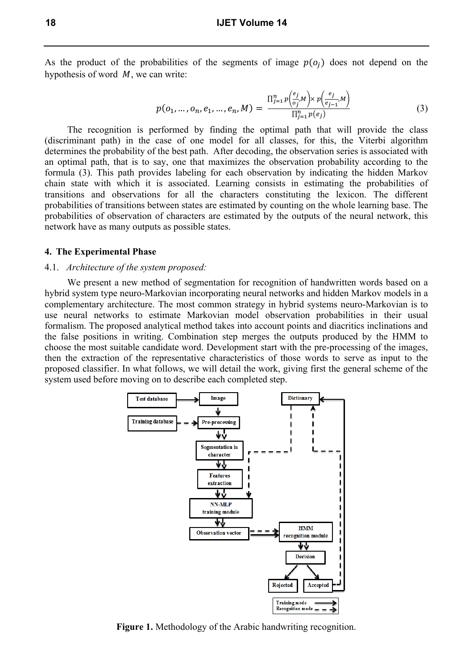As the product of the probabilities of the segments of image  $p(o_i)$  does not depend on the hypothesis of word  $M$ , we can write:

$$
p(o_1, ..., o_n, e_1, ..., e_n, M) = \frac{\prod_{j=1}^n p\left(\frac{e_j}{o_j}M\right) \times p\left(\frac{e_j}{e_{j-1}}M\right)}{\prod_{j=1}^n p(e_j)}
$$
(3)

The recognition is performed by finding the optimal path that will provide the class (discriminant path) in the case of one model for all classes, for this, the Viterbi algorithm determines the probability of the best path. After decoding, the observation series is associated with an optimal path, that is to say, one that maximizes the observation probability according to the formula (3). This path provides labeling for each observation by indicating the hidden Markov chain state with which it is associated. Learning consists in estimating the probabilities of transitions and observations for all the characters constituting the lexicon. The different probabilities of transitions between states are estimated by counting on the whole learning base. The probabilities of observation of characters are estimated by the outputs of the neural network, this network have as many outputs as possible states.

## **4. The Experimental Phase**

## 4.1. *Architecture of the system proposed:*

We present a new method of segmentation for recognition of handwritten words based on a hybrid system type neuro-Markovian incorporating neural networks and hidden Markov models in a complementary architecture. The most common strategy in hybrid systems neuro-Markovian is to use neural networks to estimate Markovian model observation probabilities in their usual formalism. The proposed analytical method takes into account points and diacritics inclinations and the false positions in writing. Combination step merges the outputs produced by the HMM to choose the most suitable candidate word. Development start with the pre-processing of the images, then the extraction of the representative characteristics of those words to serve as input to the proposed classifier. In what follows, we will detail the work, giving first the general scheme of the system used before moving on to describe each completed step.



**Figure 1.** Methodology of the Arabic handwriting recognition.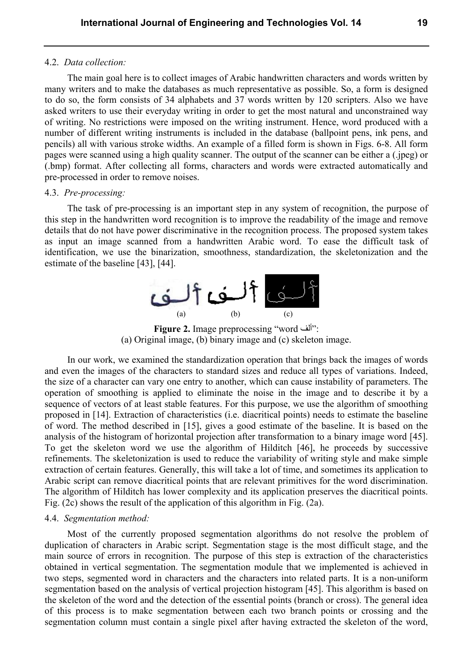#### 4.2. *Data collection:*

The main goal here is to collect images of Arabic handwritten characters and words written by many writers and to make the databases as much representative as possible. So, a form is designed to do so, the form consists of 34 alphabets and 37 words written by 120 scripters. Also we have asked writers to use their everyday writing in order to get the most natural and unconstrained way of writing. No restrictions were imposed on the writing instrument. Hence, word produced with a number of different writing instruments is included in the database (ballpoint pens, ink pens, and pencils) all with various stroke widths. An example of a filled form is shown in Figs. 6-8. All form pages were scanned using a high quality scanner. The output of the scanner can be either a (.jpeg) or (.bmp) format. After collecting all forms, characters and words were extracted automatically and pre-processed in order to remove noises.

## 4.3. *Pre-processing:*

The task of pre-processing is an important step in any system of recognition, the purpose of this step in the handwritten word recognition is to improve the readability of the image and remove details that do not have power discriminative in the recognition process. The proposed system takes as input an image scanned from a handwritten Arabic word. To ease the difficult task of identification, we use the binarization, smoothness, standardization, the skeletonization and the estimate of the baseline [43], [44].



**Figure 2.** Image preprocessing "word ألف": (a) Original image, (b) binary image and (c) skeleton image.

In our work, we examined the standardization operation that brings back the images of words and even the images of the characters to standard sizes and reduce all types of variations. Indeed, the size of a character can vary one entry to another, which can cause instability of parameters. The operation of smoothing is applied to eliminate the noise in the image and to describe it by a sequence of vectors of at least stable features. For this purpose, we use the algorithm of smoothing proposed in [14]. Extraction of characteristics (i.e. diacritical points) needs to estimate the baseline of word. The method described in [15], gives a good estimate of the baseline. It is based on the analysis of the histogram of horizontal projection after transformation to a binary image word [45]. To get the skeleton word we use the algorithm of Hilditch [46], he proceeds by successive refinements. The skeletonization is used to reduce the variability of writing style and make simple extraction of certain features. Generally, this will take a lot of time, and sometimes its application to Arabic script can remove diacritical points that are relevant primitives for the word discrimination. The algorithm of Hilditch has lower complexity and its application preserves the diacritical points. Fig. (2c) shows the result of the application of this algorithm in Fig. (2a).

## 4.4. *Segmentation method:*

Most of the currently proposed segmentation algorithms do not resolve the problem of duplication of characters in Arabic script. Segmentation stage is the most difficult stage, and the main source of errors in recognition. The purpose of this step is extraction of the characteristics obtained in vertical segmentation. The segmentation module that we implemented is achieved in two steps, segmented word in characters and the characters into related parts. It is a non-uniform segmentation based on the analysis of vertical projection histogram [45]. This algorithm is based on the skeleton of the word and the detection of the essential points (branch or cross). The general idea of this process is to make segmentation between each two branch points or crossing and the segmentation column must contain a single pixel after having extracted the skeleton of the word,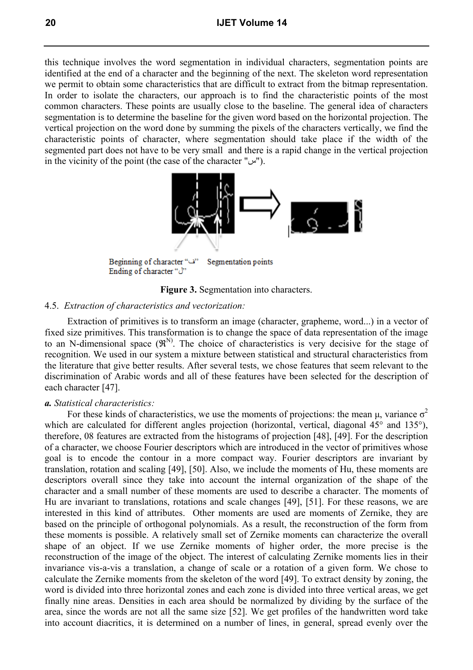this technique involves the word segmentation in individual characters, segmentation points are identified at the end of a character and the beginning of the next. The skeleton word representation we permit to obtain some characteristics that are difficult to extract from the bitmap representation. In order to isolate the characters, our approach is to find the characteristic points of the most common characters. These points are usually close to the baseline. The general idea of characters segmentation is to determine the baseline for the given word based on the horizontal projection. The vertical projection on the word done by summing the pixels of the characters vertically, we find the characteristic points of character, where segmentation should take place if the width of the segmented part does not have to be very small and there is a rapid change in the vertical projection in the vicinity of the point (the case of the character " $\omega$ ").



"ف" Beginning of character Segmentation points "<sup>1</sup>"Ending of character



## 4.5. *Extraction of characteristics and vectorization:*

Extraction of primitives is to transform an image (character, grapheme, word...) in a vector of fixed size primitives. This transformation is to change the space of data representation of the image to an N-dimensional space  $(\mathbb{R}^{N})$ . The choice of characteristics is very decisive for the stage of recognition. We used in our system a mixture between statistical and structural characteristics from the literature that give better results. After several tests, we chose features that seem relevant to the discrimination of Arabic words and all of these features have been selected for the description of each character [47].

## *a. Statistical characteristics:*

For these kinds of characteristics, we use the moments of projections: the mean  $\mu$ , variance  $\sigma^2$ which are calculated for different angles projection (horizontal, vertical, diagonal 45° and 135°), therefore, 08 features are extracted from the histograms of projection [48], [49]. For the description of a character, we choose Fourier descriptors which are introduced in the vector of primitives whose goal is to encode the contour in a more compact way. Fourier descriptors are invariant by translation, rotation and scaling [49], [50]. Also, we include the moments of Hu, these moments are descriptors overall since they take into account the internal organization of the shape of the character and a small number of these moments are used to describe a character. The moments of Hu are invariant to translations, rotations and scale changes [49], [51]. For these reasons, we are interested in this kind of attributes. Other moments are used are moments of Zernike, they are based on the principle of orthogonal polynomials. As a result, the reconstruction of the form from these moments is possible. A relatively small set of Zernike moments can characterize the overall shape of an object. If we use Zernike moments of higher order, the more precise is the reconstruction of the image of the object. The interest of calculating Zernike moments lies in their invariance vis-a-vis a translation, a change of scale or a rotation of a given form. We chose to calculate the Zernike moments from the skeleton of the word [49]. To extract density by zoning, the word is divided into three horizontal zones and each zone is divided into three vertical areas, we get finally nine areas. Densities in each area should be normalized by dividing by the surface of the area, since the words are not all the same size [52]. We get profiles of the handwritten word take into account diacritics, it is determined on a number of lines, in general, spread evenly over the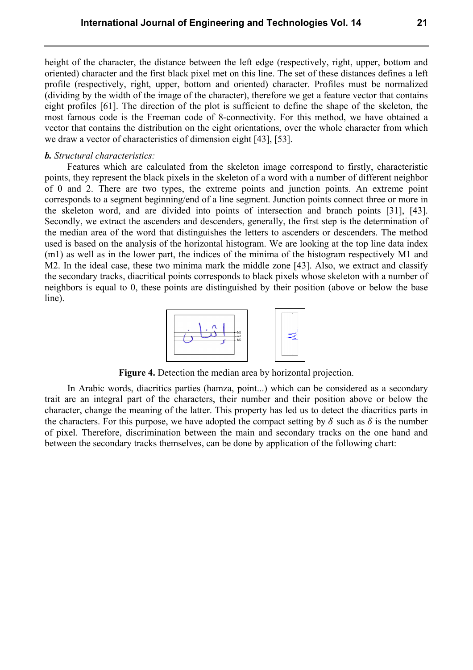height of the character, the distance between the left edge (respectively, right, upper, bottom and oriented) character and the first black pixel met on this line. The set of these distances defines a left profile (respectively, right, upper, bottom and oriented) character. Profiles must be normalized (dividing by the width of the image of the character), therefore we get a feature vector that contains eight profiles [61]. The direction of the plot is sufficient to define the shape of the skeleton, the most famous code is the Freeman code of 8-connectivity. For this method, we have obtained a vector that contains the distribution on the eight orientations, over the whole character from which we draw a vector of characteristics of dimension eight [43], [53].

## *b. Structural characteristics:*

Features which are calculated from the skeleton image correspond to firstly, characteristic points, they represent the black pixels in the skeleton of a word with a number of different neighbor of 0 and 2. There are two types, the extreme points and junction points. An extreme point corresponds to a segment beginning/end of a line segment. Junction points connect three or more in the skeleton word, and are divided into points of intersection and branch points [31], [43]. Secondly, we extract the ascenders and descenders, generally, the first step is the determination of the median area of the word that distinguishes the letters to ascenders or descenders. The method used is based on the analysis of the horizontal histogram. We are looking at the top line data index (m1) as well as in the lower part, the indices of the minima of the histogram respectively M1 and M2. In the ideal case, these two minima mark the middle zone [43]. Also, we extract and classify the secondary tracks, diacritical points corresponds to black pixels whose skeleton with a number of neighbors is equal to 0, these points are distinguished by their position (above or below the base line).



**Figure 4.** Detection the median area by horizontal projection.

In Arabic words, diacritics parties (hamza, point...) which can be considered as a secondary trait are an integral part of the characters, their number and their position above or below the character, change the meaning of the latter. This property has led us to detect the diacritics parts in the characters. For this purpose, we have adopted the compact setting by  $\delta$  such as  $\delta$  is the number of pixel. Therefore, discrimination between the main and secondary tracks on the one hand and between the secondary tracks themselves, can be done by application of the following chart: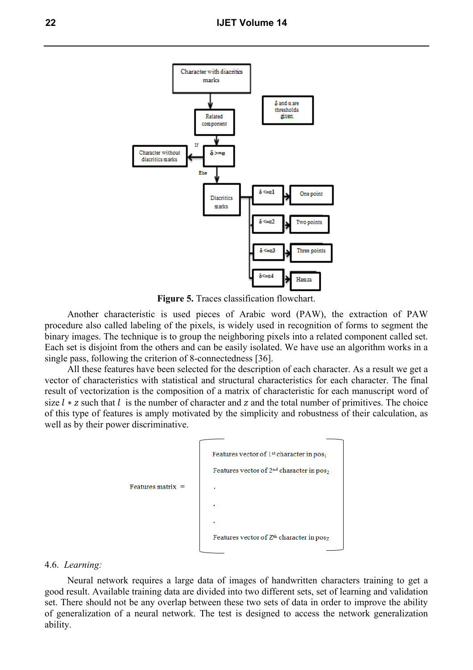

**Figure 5.** Traces classification flowchart.

Another characteristic is used pieces of Arabic word (PAW), the extraction of PAW procedure also called labeling of the pixels, is widely used in recognition of forms to segment the binary images. The technique is to group the neighboring pixels into a related component called set. Each set is disjoint from the others and can be easily isolated. We have use an algorithm works in a single pass, following the criterion of 8-connectedness [36].

All these features have been selected for the description of each character. As a result we get a vector of characteristics with statistical and structural characteristics for each character. The final result of vectorization is the composition of a matrix of characteristic for each manuscript word of size  $l * z$  such that  $l$  is the number of character and  $z$  and the total number of primitives. The choice of this type of features is amply motivated by the simplicity and robustness of their calculation, as well as by their power discriminative.



#### 4.6. *Learning:*

Neural network requires a large data of images of handwritten characters training to get a good result. Available training data are divided into two different sets, set of learning and validation set. There should not be any overlap between these two sets of data in order to improve the ability of generalization of a neural network. The test is designed to access the network generalization ability.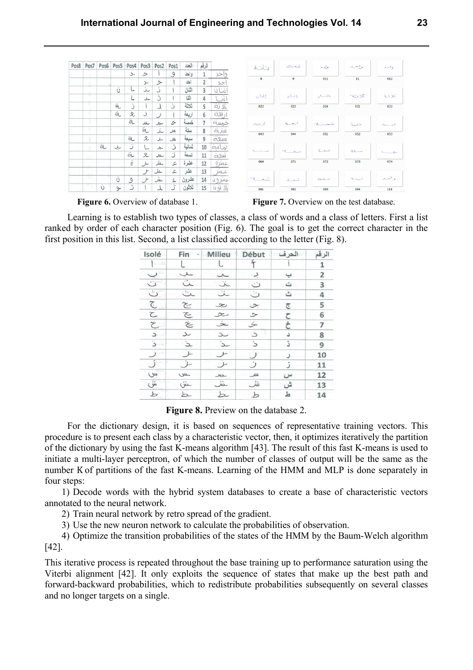| عڪ<br>aid                                           |                        | الرقم          | العدد  | Pos1          | Pos <sub>2</sub> | Pos <sub>3</sub>            | Pos4                | Pos5          | Pos6 | Pos7                | Pos8 |
|-----------------------------------------------------|------------------------|----------------|--------|---------------|------------------|-----------------------------|---------------------|---------------|------|---------------------|------|
|                                                     | وإحد                   | 1              | وإحد   | $\mathcal{G}$ |                  | ➢                           | $\sim$              |               |      | z.                  |      |
| 8<br>$\overline{9}$                                 | $\infty$               | $\overline{2}$ | احد    |               | ≻                | $\sim$                      |                     |               |      | e                   |      |
|                                                     | ننان                   | 3              | اثنان  |               | ٽ                | عذ                          | l                   | Ú             |      | ×                   |      |
| اتنان<br>إثنان                                      | انتا                   | 4              | اثنا   |               | ڙ                | غ                           | L                   |               |      | τ<br>$\mathbb{R}^2$ |      |
| 023<br>022                                          | aj li                  | 5              | ثلاثة  | ڒ             | J                |                             | ڗ                   | ä,            |      | v                   |      |
|                                                     | ally                   | 6              | اربعة  |               | $\cup$           | ڸ                           | $\mathcal{R}% _{0}$ | ä             |      | z                   |      |
| أويعين<br>ربعية                                     | auns                   | $\overline{7}$ | خمسة   | 5             | حم               | سللف                        | ä                   |               |      | 8                   |      |
| 044<br>043                                          |                        | 8              | ستة    | w             | ﯩﻨ               | â                           | ×c                  |               |      | Y.                  |      |
|                                                     | allun                  | 9              | سبعة   | W             | بد               | 오                           | ä                   |               |      | 8                   |      |
|                                                     | شاشة                   | 10             | ثمانية | ڏ             | S                | L                           | ن                   | ىب            | à    | $\Omega$            |      |
| ÷.<br><b>College Street</b>                         | CLUW                   | 11             | تسعة   | ڒ             | سللل             | 又                           | â                   |               |      | OP.                 |      |
| 071<br>064                                          | عشرة                   | 12             | عثىرة  | ع             | حلال             | Y                           | $\ddot{o}$          |               |      | 26.26               |      |
|                                                     | Lul                    | 13             | عثىر   | ع             | حش               | $\mathcal{F}_{\mathcal{A}}$ |                     |               |      | $15 - 15$<br>25.21  |      |
| $\sim$<br>$\sim_{\mathbb{Z}}$<br>new<br>$\tilde{A}$ | $sin(\theta t)$        | 14             | عشرون  | ے             | خنثر             | $\mathcal{F}$               | $\mathcal{S}$       | Ü             |      | 3.3                 |      |
| 092<br>091                                          | $U \nleftrightarrow U$ | 15             | ثلاثون | ڗ             | 人                |                             | ڭ                   | $\rightarrow$ | Ù    | εr.                 |      |



**Figure 6.** Overview of database 1. **Figure 7.** Overview on the test database.

Learning is to establish two types of classes, a class of words and a class of letters. First a list ranked by order of each character position (Fig. 6). The goal is to get the correct character in the first position in this list. Second, a list classified according to the letter (Fig. 8).

| Isolé                            | Fin              | <b>Milieu</b>    | Début            | العرف | الرقم          |
|----------------------------------|------------------|------------------|------------------|-------|----------------|
| bet                              |                  |                  | f                |       | 1              |
| $\smile$                         | سلب              | ᅩ                | یے               | ڀ     | $\overline{2}$ |
| ت                                | ىت               | ۼڎ               | ت                | ت     | 3              |
| ت                                | ﯩﯔ               | غذ               | ت                | ٹ     | 4              |
| $\mathcal{L}$                    | $\approx$        | $\infty$         | $\sim$           | چ     | 5              |
| $\subset$                        | $\epsilon$       | $\propto$        | ン                | ح     | 6              |
| Ć                                | $\dot{\approx}$  | $\approx$        | خ                |       | 7              |
| $\overline{\phantom{0}}$<br>u ki | عد               | ے                | $\supset$        |       | 8              |
| ا ک                              | $\alpha$         | $\sim$           | $\mathcal{L}$    | ذ     | 9              |
| $\sim$ 0.<br>ر                   | Y                |                  | $\cup$           |       | 10             |
| ڵ                                | عز               |                  | ن                | ز.    | 11             |
| $\omega$                         | ـس               | ىللەر            | س                | س     | 12             |
| ىتى                              | ىش               | ىننى             | شُ               | ش     | 13             |
| $\rightarrow$                    | $\triangleright$ | $\triangleright$ | $\triangleright$ | ط     | 14             |

**Figure 8.** Preview on the database 2.

For the dictionary design, it is based on sequences of representative training vectors. This procedure is to present each class by a characteristic vector, then, it optimizes iteratively the partition of the dictionary by using the fast K-means algorithm [43]. The result of this fast K-means is used to initiate a multi-layer perceptron, of which the number of classes of output will be the same as the number K of partitions of the fast K-means. Learning of the HMM and MLP is done separately in four steps:

1) Decode words with the hybrid system databases to create a base of characteristic vectors annotated to the neural network.

2) Train neural network by retro spread of the gradient.

3) Use the new neuron network to calculate the probabilities of observation.

4) Optimize the transition probabilities of the states of the HMM by the Baum-Welch algorithm [42].

This iterative process is repeated throughout the base training up to performance saturation using the Viterbi alignment [42]. It only exploits the sequence of states that make up the best path and forward-backward probabilities, which to redistribute probabilities subsequently on several classes and no longer targets on a single.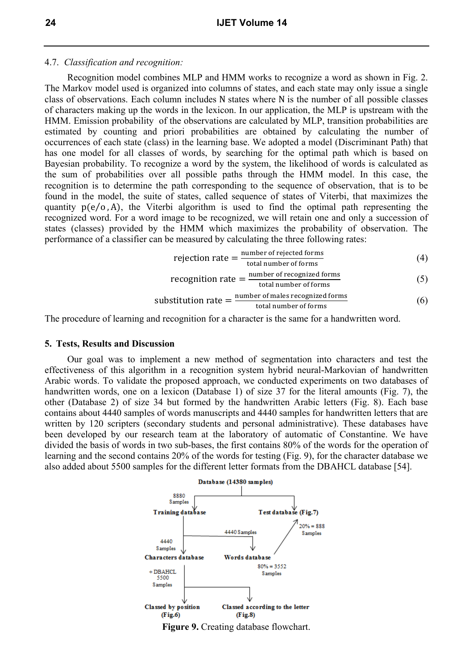#### 4.7. *Classification and recognition:*

Recognition model combines MLP and HMM works to recognize a word as shown in Fig. 2. The Markov model used is organized into columns of states, and each state may only issue a single class of observations. Each column includes N states where N is the number of all possible classes of characters making up the words in the lexicon. In our application, the MLP is upstream with the HMM. Emission probability of the observations are calculated by MLP, transition probabilities are estimated by counting and priori probabilities are obtained by calculating the number of occurrences of each state (class) in the learning base. We adopted a model (Discriminant Path) that has one model for all classes of words, by searching for the optimal path which is based on Bayesian probability. To recognize a word by the system, the likelihood of words is calculated as the sum of probabilities over all possible paths through the HMM model. In this case, the recognition is to determine the path corresponding to the sequence of observation, that is to be found in the model, the suite of states, called sequence of states of Viterbi, that maximizes the quantity  $p(e/o, A)$ , the Viterbi algorithm is used to find the optimal path representing the recognized word. For a word image to be recognized, we will retain one and only a succession of states (classes) provided by the HMM which maximizes the probability of observation. The performance of a classifier can be measured by calculating the three following rates:

rejection rate = 
$$
\frac{\text{number of rejected forms}}{\text{total number of forms}}
$$
 (4)

$$
recognition rate = \frac{number\ of\ recognized\ forms}{total\ number\ of\ forms} \tag{5}
$$

$$
substitution rate = \frac{number of males recognized forms}{total number of forms}
$$
 (6)

The procedure of learning and recognition for a character is the same for a handwritten word.

#### **5. Tests, Results and Discussion**

Our goal was to implement a new method of segmentation into characters and test the effectiveness of this algorithm in a recognition system hybrid neural-Markovian of handwritten Arabic words. To validate the proposed approach, we conducted experiments on two databases of handwritten words, one on a lexicon (Database 1) of size 37 for the literal amounts (Fig. 7), the other (Database 2) of size 34 but formed by the handwritten Arabic letters (Fig. 8). Each base contains about 4440 samples of words manuscripts and 4440 samples for handwritten letters that are written by 120 scripters (secondary students and personal administrative). These databases have been developed by our research team at the laboratory of automatic of Constantine. We have divided the basis of words in two sub-bases, the first contains 80% of the words for the operation of learning and the second contains 20% of the words for testing (Fig. 9), for the character database we also added about 5500 samples for the different letter formats from the DBAHCL database [54].



**Figure 9.** Creating database flowchart.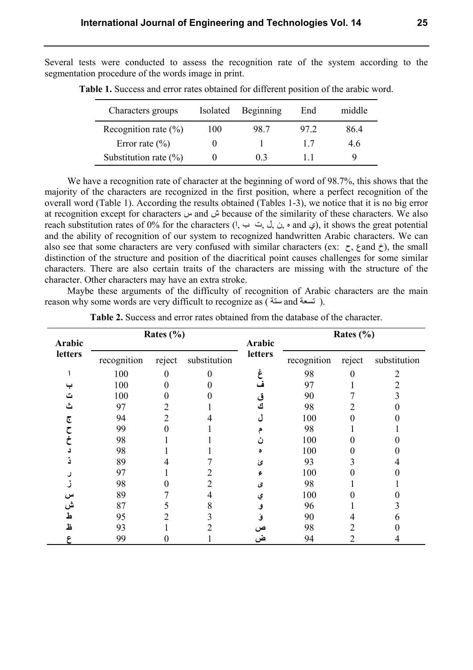Several tests were conducted to assess the recognition rate of the system according to the segmentation procedure of the words image in print.

| Characters groups         | Isolated | Beginning | End          | middle |
|---------------------------|----------|-----------|--------------|--------|
| Recognition rate $(\%)$   | 100      | 98.7      | 97.2         | 86.4   |
| Error rate $(\% )$        |          |           | 17           | 4.6    |
| Substitution rate $(\% )$ |          | 0.3       | $\mathbf{1}$ | Q      |

**Table 1.** Success and error rates obtained for different position of the arabic word.

We have a recognition rate of character at the beginning of word of 98.7%, this shows that the majority of the characters are recognized in the first position, where a perfect recognition of the overall word (Table 1). According the results obtained (Tables 1-3), we notice that it is no big error at recognition except for characters س and ش because of the similarity of these characters. We also reach substitution rates of 0% for the characters ( $, \leftrightarrow, \circ, \circ, \circ$ ,  $\circ$ , and  $\circ$ ), it shows the great potential and the ability of recognition of our system to recognized handwritten Arabic characters. We can also see that some characters are very confused with similar characters (ex:  $\tau$ ,  $\zeta$  and  $\dot{\tau}$ ), the small distinction of the structure and position of the diacritical point causes challenges for some similar characters. There are also certain traits of the characters are missing with the structure of the character. Other characters may have an extra stroke.

Maybe these arguments of the difficulty of recognition of Arabic characters are the main reason why some words are very difficult to recognize as ( تسعة and تسعة).

| Arabic<br>letters |             | Rates $(\% )$ |              | Arabic  |             | Rates $(\% )$ |              |
|-------------------|-------------|---------------|--------------|---------|-------------|---------------|--------------|
|                   | recognition | reject        | substitution | letters | recognition | reject        | substitution |
|                   | 100         |               |              |         | 98          |               |              |
|                   | 100         |               |              |         | 97          |               |              |
|                   | 100         |               |              |         | 90          |               |              |
|                   | 97          |               |              | ٹ       | 98          |               |              |
| چ                 | 94          |               |              |         | 100         |               |              |
|                   | 99          |               |              |         | 98          |               |              |
|                   | 98          |               |              |         | 100         |               |              |
|                   | 98          |               |              |         | 100         |               |              |
|                   | 89          |               |              | ئ       | 93          |               |              |
|                   | 97          |               |              |         | 100         |               |              |
|                   | 98          |               |              | ى       | 98          |               |              |
| س                 | 89          |               |              | ي       | 100         |               |              |
| ش                 | 87          |               |              |         | 96          |               |              |
| ط                 | 95          |               |              |         | 90          |               |              |
| Ľ                 | 93          |               |              | ص       | 98          |               |              |
|                   | 99          |               |              | ض       | 94          |               |              |

**Table 2.** Success and error rates obtained from the database of the character.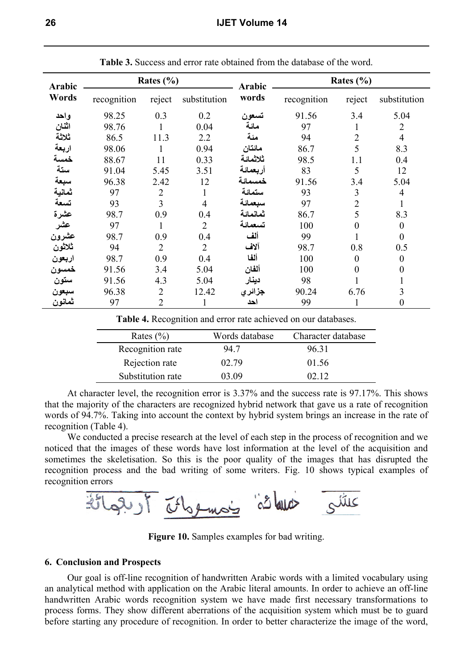| Arabic         | Rates $(\% )$ |                |                | Arabic   |             | Rates $(\% )$    |                  |
|----------------|---------------|----------------|----------------|----------|-------------|------------------|------------------|
| Words          | recognition   | reject         | substitution   | words    | recognition | reject           | substitution     |
| واحد           | 98.25         | 0.3            | 0.2            | تسعون    | 91.56       | 3.4              | 5.04             |
| اثنان          | 98.76         |                | 0.04           | مائة     | 97          | 1                | $\overline{2}$   |
| ثلاثة          | 86.5          | 11.3           | 2.2            | مئة      | 94          | $\overline{2}$   | $\overline{4}$   |
| اربعة          | 98.06         | $\mathbf{1}$   | 0.94           | مائتان   | 86.7        | 5                | 8.3              |
| خمسة           | 88.67         | 11             | 0.33           | ثلاثمائة | 98.5        | 1.1              | 0.4              |
| ستة            | 91.04         | 5.45           | 3.51           | أربعمائة | 83          | 5                | 12               |
|                | 96.38         | 2.42           | 12             | خمسمائة  | 91.56       | 3.4              | 5.04             |
| سبعة<br>ثمانية | 97            | $\overline{2}$ | 1              | ستمائة   | 93          | 3                | 4                |
| تسعة           | 93            | $\overline{3}$ | $\overline{4}$ | سبعمائة  | 97          | $\overline{2}$   |                  |
| عشرة           | 98.7          | 0.9            | 0.4            | ثمانمائة | 86.7        | 5                | 8.3              |
| عشر            | 97            |                | $\overline{2}$ | تسعمائة  | 100         | $\boldsymbol{0}$ | $\boldsymbol{0}$ |
| عشرون          | 98.7          | 0.9            | 0.4            | ألف      | 99          |                  | $\overline{0}$   |
| ثلاثون         | 94            | $\overline{2}$ | $\overline{2}$ | آلاف     | 98.7        | 0.8              | 0.5              |
| اربعون         | 98.7          | 0.9            | 0.4            | ألفا     | 100         | $\boldsymbol{0}$ | $\boldsymbol{0}$ |
| خمسون          | 91.56         | 3.4            | 5.04           | ألفان    | 100         | $\overline{0}$   | $\overline{0}$   |
| ستون           | 91.56         | 4.3            | 5.04           | دينار    | 98          |                  |                  |
| سبعون          | 96.38         | $\overline{2}$ | 12.42          | جزائر ي  | 90.24       | 6.76             | 3                |
| ثمانون         | 97            | 2              |                | احد      | 99          |                  | $\boldsymbol{0}$ |

**Table 3.** Success and error rate obtained from the database of the word.

**Table 4.** Recognition and error rate achieved on our databases.

| Rates $(\% )$     | Words database | Character database |
|-------------------|----------------|--------------------|
| Recognition rate  | 94.7           | 96.31              |
| Rejection rate    | 02.79          | 01.56              |
| Substitution rate | 03 O9          | N2 12              |

At character level, the recognition error is 3.37% and the success rate is 97.17%. This shows that the majority of the characters are recognized hybrid network that gave us a rate of recognition words of 94.7%. Taking into account the context by hybrid system brings an increase in the rate of recognition (Table 4).

We conducted a precise research at the level of each step in the process of recognition and we noticed that the images of these words have lost information at the level of the acquisition and sometimes the skeletisation. So this is the poor quality of the images that has disrupted the recognition process and the bad writing of some writers. Fig. 10 shows typical examples of recognition errors



**Figure 10.** Samples examples for bad writing.

## **6. Conclusion and Prospects**

Our goal is off-line recognition of handwritten Arabic words with a limited vocabulary using an analytical method with application on the Arabic literal amounts. In order to achieve an off-line handwritten Arabic words recognition system we have made first necessary transformations to process forms. They show different aberrations of the acquisition system which must be to guard before starting any procedure of recognition. In order to better characterize the image of the word,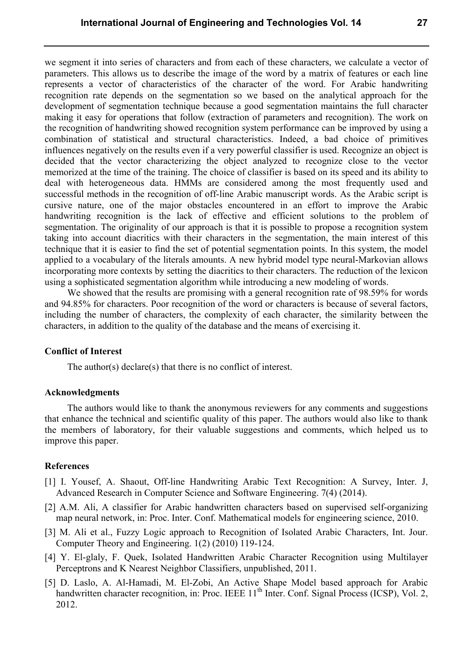we segment it into series of characters and from each of these characters, we calculate a vector of parameters. This allows us to describe the image of the word by a matrix of features or each line represents a vector of characteristics of the character of the word. For Arabic handwriting recognition rate depends on the segmentation so we based on the analytical approach for the development of segmentation technique because a good segmentation maintains the full character making it easy for operations that follow (extraction of parameters and recognition). The work on the recognition of handwriting showed recognition system performance can be improved by using a combination of statistical and structural characteristics. Indeed, a bad choice of primitives influences negatively on the results even if a very powerful classifier is used. Recognize an object is decided that the vector characterizing the object analyzed to recognize close to the vector memorized at the time of the training. The choice of classifier is based on its speed and its ability to deal with heterogeneous data. HMMs are considered among the most frequently used and successful methods in the recognition of off-line Arabic manuscript words. As the Arabic script is cursive nature, one of the major obstacles encountered in an effort to improve the Arabic handwriting recognition is the lack of effective and efficient solutions to the problem of segmentation. The originality of our approach is that it is possible to propose a recognition system taking into account diacritics with their characters in the segmentation, the main interest of this technique that it is easier to find the set of potential segmentation points. In this system, the model applied to a vocabulary of the literals amounts. A new hybrid model type neural-Markovian allows incorporating more contexts by setting the diacritics to their characters. The reduction of the lexicon using a sophisticated segmentation algorithm while introducing a new modeling of words.

We showed that the results are promising with a general recognition rate of 98.59% for words and 94.85% for characters. Poor recognition of the word or characters is because of several factors, including the number of characters, the complexity of each character, the similarity between the characters, in addition to the quality of the database and the means of exercising it.

## **Conflict of Interest**

The author(s) declare(s) that there is no conflict of interest.

#### **Acknowledgments**

The authors would like to thank the anonymous reviewers for any comments and suggestions that enhance the technical and scientific quality of this paper. The authors would also like to thank the members of laboratory, for their valuable suggestions and comments, which helped us to improve this paper.

#### **References**

- [1] I. Yousef, A. Shaout, Off-line Handwriting Arabic Text Recognition: A Survey, Inter. J, Advanced Research in Computer Science and Software Engineering. 7(4) (2014).
- [2] A.M. Ali, A classifier for Arabic handwritten characters based on supervised self-organizing map neural network, in: Proc. Inter. Conf. Mathematical models for engineering science, 2010.
- [3] M. Ali et al., Fuzzy Logic approach to Recognition of Isolated Arabic Characters, Int. Jour. Computer Theory and Engineering. 1(2) (2010) 119-124.
- [4] Y. El-glaly, F. Quek, Isolated Handwritten Arabic Character Recognition using Multilayer Perceptrons and K Nearest Neighbor Classifiers, unpublished, 2011.
- [5] D. Laslo, A. Al-Hamadi, M. El-Zobi, An Active Shape Model based approach for Arabic handwritten character recognition, in: Proc. IEEE  $11<sup>th</sup>$  Inter. Conf. Signal Process (ICSP), Vol. 2, 2012.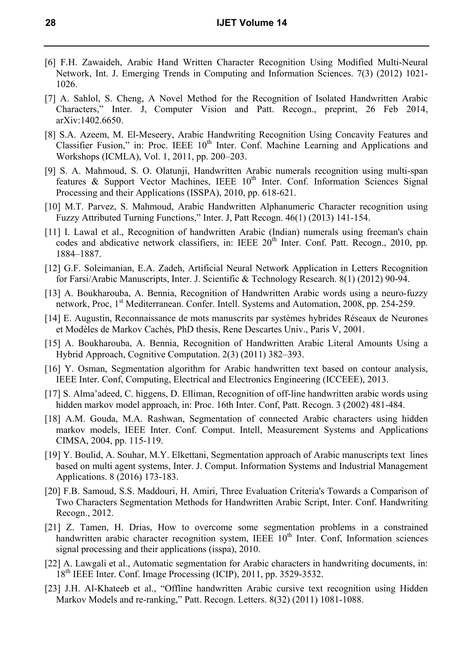- [6] F.H. Zawaideh, Arabic Hand Written Character Recognition Using Modified Multi-Neural Network, Int. J. Emerging Trends in Computing and Information Sciences. 7(3) (2012) 1021- 1026.
- [7] A. Sahlol, S. Cheng, A Novel Method for the Recognition of Isolated Handwritten Arabic Characters," Inter. J, Computer Vision and Patt. Recogn., preprint, 26 Feb 2014, arXiv:1402.6650.
- [8] S.A. Azeem, M. El-Meseery, Arabic Handwriting Recognition Using Concavity Features and Classifier Fusion," in: Proc. IEEE 10<sup>th</sup> Inter. Conf. Machine Learning and Applications and Workshops (ICMLA), Vol. 1, 2011, pp. 200–203.
- [9] S. A. Mahmoud, S. O. Olatunji, Handwritten Arabic numerals recognition using multi-span features & Support Vector Machines, IEEE  $10<sup>th</sup>$  Inter. Conf. Information Sciences Signal Processing and their Applications (ISSPA), 2010, pp. 618-621.
- [10] M.T. Parvez, S. Mahmoud, Arabic Handwritten Alphanumeric Character recognition using Fuzzy Attributed Turning Functions," Inter. J, Patt Recogn. 46(1) (2013) 141-154.
- [11] I. Lawal et al., Recognition of handwritten Arabic (Indian) numerals using freeman's chain codes and abdicative network classifiers, in: IEEE 20<sup>th</sup> Inter. Conf. Patt. Recogn., 2010, pp. 1884–1887.
- [12] G.F. Soleimanian, E.A. Zadeh, Artificial Neural Network Application in Letters Recognition for Farsi/Arabic Manuscripts, Inter. J. Scientific & Technology Research. 8(1) (2012) 90-94.
- [13] A. Boukharouba, A. Bennia, Recognition of Handwritten Arabic words using a neuro-fuzzy network, Proc, 1<sup>st</sup> Mediterranean. Confer. Intell. Systems and Automation, 2008, pp. 254-259.
- [14] E. Augustin, Reconnaissance de mots manuscrits par systèmes hybrides Réseaux de Neurones et Modèles de Markov Cachés, PhD thesis, Rene Descartes Univ., Paris V, 2001.
- [15] A. Boukharouba, A. Bennia, Recognition of Handwritten Arabic Literal Amounts Using a Hybrid Approach, Cognitive Computation. 2(3) (2011) 382–393.
- [16] Y. Osman, Segmentation algorithm for Arabic handwritten text based on contour analysis, IEEE Inter. Conf, Computing, Electrical and Electronics Engineering (ICCEEE), 2013.
- [17] S. Alma'adeed, C. higgens, D. Elliman, Recognition of off-line handwritten arabic words using hidden markov model approach, in: Proc. 16th Inter. Conf, Patt. Recogn. 3 (2002) 481-484.
- [18] A.M. Gouda, M.A. Rashwan, Segmentation of connected Arabic characters using hidden markov models, IEEE Inter. Conf. Comput. Intell, Measurement Systems and Applications CIMSA, 2004, pp. 115-119.
- [19] Y. Boulid, A. Souhar, M.Y. Elkettani, Segmentation approach of Arabic manuscripts text lines based on multi agent systems, Inter. J. Comput. Information Systems and Industrial Management Applications. 8 (2016) 173-183.
- [20] F.B. Samoud, S.S. Maddouri, H. Amiri, Three Evaluation Criteria's Towards a Comparison of Two Characters Segmentation Methods for Handwritten Arabic Script, Inter. Conf. Handwriting Recogn., 2012.
- [21] Z. Tamen, H. Drias, How to overcome some segmentation problems in a constrained handwritten arabic character recognition system, IEEE  $10<sup>th</sup>$  Inter. Conf, Information sciences signal processing and their applications (isspa), 2010.
- [22] A. Lawgali et al., Automatic segmentation for Arabic characters in handwriting documents, in: 18<sup>th</sup> IEEE Inter. Conf. Image Processing (ICIP), 2011, pp. 3529-3532.
- [23] J.H. Al-Khateeb et al., "Offline handwritten Arabic cursive text recognition using Hidden Markov Models and re-ranking," Patt. Recogn. Letters. 8(32) (2011) 1081-1088.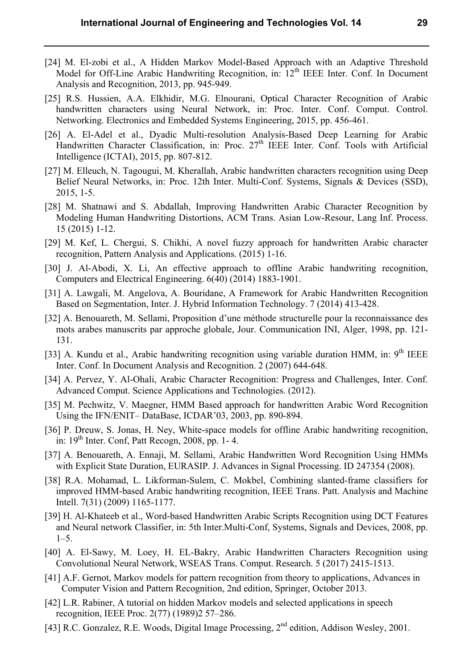- [24] M. El-zobi et al., A Hidden Markov Model-Based Approach with an Adaptive Threshold Model for Off-Line Arabic Handwriting Recognition, in:  $12<sup>th</sup>$  IEEE Inter. Conf. In Document Analysis and Recognition, 2013, pp. 945-949.
- [25] R.S. Hussien, A.A. Elkhidir, M.G. Elnourani, Optical Character Recognition of Arabic handwritten characters using Neural Network, in: Proc. Inter. Conf. Comput. Control. Networking. Electronics and Embedded Systems Engineering, 2015, pp. 456-461.
- [26] A. El-Adel et al., Dyadic Multi-resolution Analysis-Based Deep Learning for Arabic Handwritten Character Classification, in: Proc. 27<sup>th</sup> IEEE Inter. Conf. Tools with Artificial Intelligence (ICTAI), 2015, pp. 807-812.
- [27] M. Elleuch, N. Tagougui, M. Kherallah, Arabic handwritten characters recognition using Deep Belief Neural Networks, in: Proc. 12th Inter. Multi-Conf. Systems, Signals & Devices (SSD), 2015, 1-5.
- [28] M. Shatnawi and S. Abdallah, Improving Handwritten Arabic Character Recognition by Modeling Human Handwriting Distortions, ACM Trans. Asian Low-Resour, Lang Inf. Process. 15 (2015) 1-12.
- [29] M. Kef, L. Chergui, S. Chikhi, A novel fuzzy approach for handwritten Arabic character recognition, Pattern Analysis and Applications. (2015) 1-16.
- [30] J. Al-Abodi, X. Li, An effective approach to offline Arabic handwriting recognition, Computers and Electrical Engineering. 6(40) (2014) 1883-1901.
- [31] A. Lawgali, M. Angelova, A. Bouridane, A Framework for Arabic Handwritten Recognition Based on Segmentation, Inter. J. Hybrid Information Technology. 7 (2014) 413-428.
- [32] A. Benouareth, M. Sellami, Proposition d'une méthode structurelle pour la reconnaissance des mots arabes manuscrits par approche globale, Jour. Communication INI, Alger, 1998, pp. 121- 131.
- [33] A. Kundu et al., Arabic handwriting recognition using variable duration HMM, in:  $9<sup>th</sup>$  IEEE Inter. Conf. In Document Analysis and Recognition. 2 (2007) 644-648.
- [34] A. Pervez, Y. Al-Ohali, Arabic Character Recognition: Progress and Challenges, Inter. Conf. Advanced Comput. Science Applications and Technologies. (2012).
- [35] M. Pechwitz, V. Maegner, HMM Based approach for handwritten Arabic Word Recognition Using the IFN/ENIT– DataBase, ICDAR'03, 2003, pp. 890-894.
- [36] P. Dreuw, S. Jonas, H. Ney, White-space models for offline Arabic handwriting recognition, in:  $19<sup>th</sup>$  Inter. Conf, Patt Recogn, 2008, pp. 1-4.
- [37] A. Benouareth, A. Ennaji, M. Sellami, Arabic Handwritten Word Recognition Using HMMs with Explicit State Duration, EURASIP. J. Advances in Signal Processing. ID 247354 (2008).
- [38] R.A. Mohamad, L. Likforman-Sulem, C. Mokbel, Combining slanted-frame classifiers for improved HMM-based Arabic handwriting recognition, IEEE Trans. Patt. Analysis and Machine Intell. 7(31) (2009) 1165-1177.
- [39] H. Al-Khateeb et al., Word-based Handwritten Arabic Scripts Recognition using DCT Features and Neural network Classifier, in: 5th Inter.Multi-Conf, Systems, Signals and Devices, 2008, pp.  $1-5.$
- [40] A. El-Sawy, M. Loey, H. EL-Bakry, Arabic Handwritten Characters Recognition using Convolutional Neural Network, WSEAS Trans. Comput. Research. 5 (2017) 2415-1513.
- [41] A.F. Gernot, Markov models for pattern recognition from theory to applications, Advances in Computer Vision and Pattern Recognition, 2nd edition, Springer, October 2013.
- [42] L.R. Rabiner, A tutorial on hidden Markov models and selected applications in speech recognition, IEEE Proc. 2(77) (1989)2 57–286.
- [43] R.C. Gonzalez, R.E. Woods, Digital Image Processing, 2<sup>nd</sup> edition, Addison Wesley, 2001.